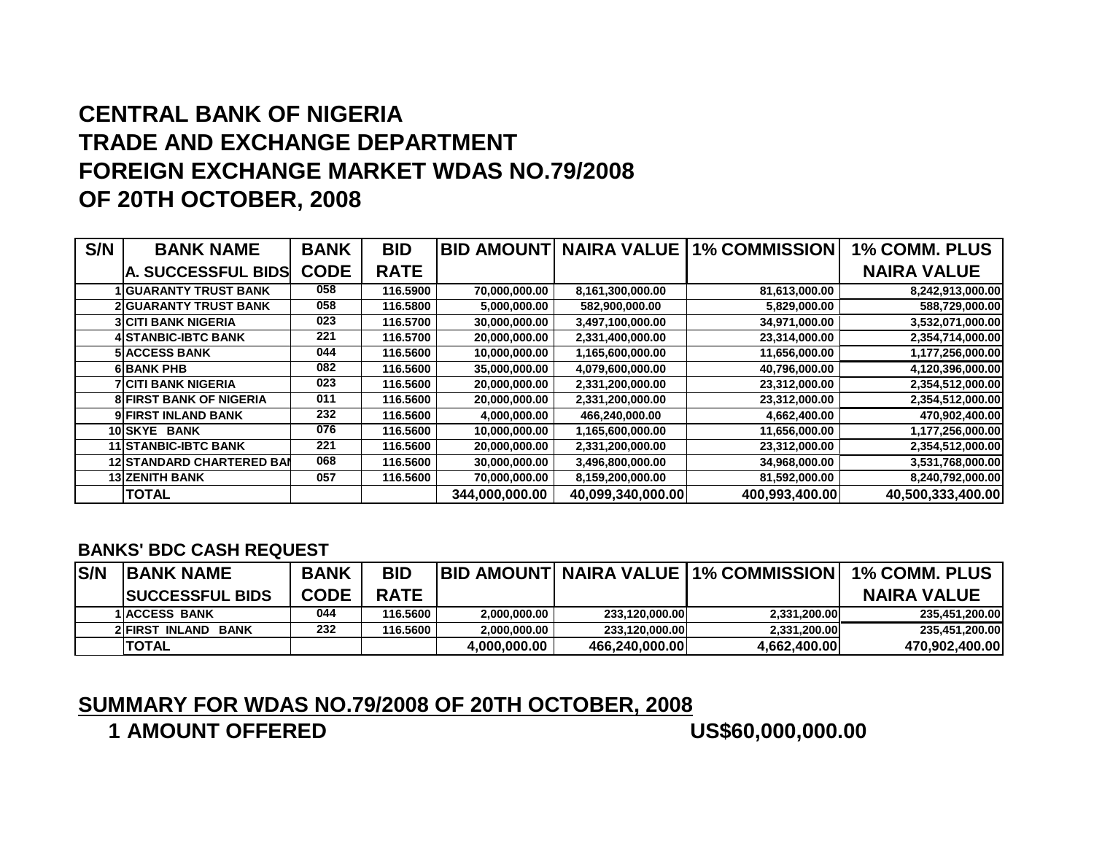## **CENTRAL BANK OF NIGERIA TRADE AND EXCHANGE DEPARTMENT FOREIGN EXCHANGE MARKET WDAS NO.79/2008OF 20TH OCTOBER, 2008**

| S/N | <b>BANK NAME</b>                 | <b>BANK</b> | <b>BID</b>  |                |                   | <b>BID AMOUNT NAIRA VALUE 1% COMMISSION</b> | <b>1% COMM. PLUS</b> |
|-----|----------------------------------|-------------|-------------|----------------|-------------------|---------------------------------------------|----------------------|
|     | <b>A. SUCCESSFUL BIDS</b>        | <b>CODE</b> | <b>RATE</b> |                |                   |                                             | <b>NAIRA VALUE</b>   |
|     | 1 IGUARANTY TRUST BANK           | 058         | 116.5900    | 70,000,000.00  | 8,161,300,000.00  | 81,613,000.00                               | 8,242,913,000.00     |
|     | <b>2 GUARANTY TRUST BANK</b>     | 058         | 116.5800    | 5,000,000.00   | 582,900,000.00    | 5,829,000.00                                | 588,729,000.00       |
|     | <b>3 CITI BANK NIGERIA</b>       | 023         | 116.5700    | 30,000,000.00  | 3,497,100,000.00  | 34,971,000.00                               | 3,532,071,000.00     |
|     | 4ISTANBIC-IBTC BANK              | 221         | 116.5700    | 20,000,000.00  | 2,331,400,000.00  | 23,314,000.00                               | 2,354,714,000.00     |
|     | <b>5 ACCESS BANK</b>             | 044         | 116,5600    | 10,000,000.00  | 1,165,600,000.00  | 11,656,000.00                               | 1,177,256,000.00     |
|     | 6 BANK PHB                       | 082         | 116.5600    | 35,000,000.00  | 4,079,600,000.00  | 40,796,000.00                               | 4,120,396,000.00     |
|     | 7İCITI BANK NIGERIA              | 023         | 116.5600    | 20,000,000.00  | 2,331,200,000.00  | 23,312,000.00                               | 2,354,512,000.00     |
|     | <b>8 FIRST BANK OF NIGERIA</b>   | 011         | 116.5600    | 20,000,000.00  | 2,331,200,000.00  | 23,312,000.00                               | 2,354,512,000.00     |
|     | <b>9 FIRST INLAND BANK</b>       | 232         | 116.5600    | 4,000,000.00   | 466,240,000.00    | 4,662,400.00                                | 470,902,400.00       |
|     | <b>10ISKYE BANK</b>              | 076         | 116.5600    | 10,000,000.00  | 1,165,600,000.00  | 11,656,000.00                               | 1,177,256,000.00     |
|     | <b>11 STANBIC-IBTC BANK</b>      | 221         | 116.5600    | 20,000,000.00  | 2,331,200,000.00  | 23,312,000.00                               | 2,354,512,000.00     |
|     | <b>12 STANDARD CHARTERED BAI</b> | 068         | 116.5600    | 30,000,000.00  | 3,496,800,000.00  | 34,968,000.00                               | 3,531,768,000.00     |
|     | <b>13 ZENITH BANK</b>            | 057         | 116.5600    | 70,000,000.00  | 8,159,200,000.00  | 81,592,000.00                               | 8,240,792,000.00     |
|     | <b>TOTAL</b>                     |             |             | 344,000,000.00 | 40,099,340,000.00 | 400,993,400.00                              | 40,500,333,400.00    |

## **BANKS' BDC CASH REQUEST**

| <b>S/N</b> | <b>IBANK NAME</b>       | <b>BANK</b> | <b>BID</b>  |              |                | <b>IBID AMOUNTI NAIRA VALUE 11% COMMISSION  </b> | <b>1% COMM. PLUS</b> |
|------------|-------------------------|-------------|-------------|--------------|----------------|--------------------------------------------------|----------------------|
|            | <b>ISUCCESSFUL BIDS</b> | <b>CODE</b> | <b>RATE</b> |              |                |                                                  | <b>NAIRA VALUE</b>   |
|            | <b>1 ACCESS BANK</b>    | 044         | 116.5600    | 2.000.000.00 | 233.120.000.00 | 2.331.200.00                                     | 235,451,200.00       |
|            | 2 FIRST INLAND BANK     | 232         | 116.5600    | 2.000.000.00 | 233.120.000.00 | 2,331,200.00                                     | 235,451,200.00       |
|            | <b>TOTAL</b>            |             |             | 4.000.000.00 | 466.240.000.00 | 4,662,400.00                                     | 470,902,400.00       |

## **SUMMARY FOR WDAS NO.79/2008 OF 20TH OCTOBER, 2008**

**1 AMOUNT OFFERED**

**US\$60,000,000.00**